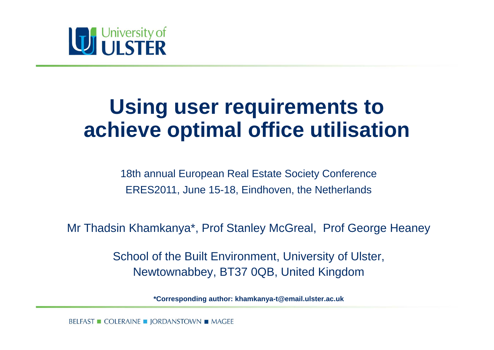

#### **Using user requirements to achieve optimal office utilisation**

18th annual European Real Estate Society Conference ERES2011, June 15-18, Eindhoven, the Netherlands

Mr Thadsin Khamkanya\*, Prof Stanley McGreal, Prof George Heaney

School of the Built Environment, University of Ulster, Newtownabbey, BT37 0QB, United Kingdom

**\*Corresponding author: khamkanya-t@email.ulster.ac.uk** 

BELFAST ■ COLERAINE ■ JORDANSTOWN ■ MAGEE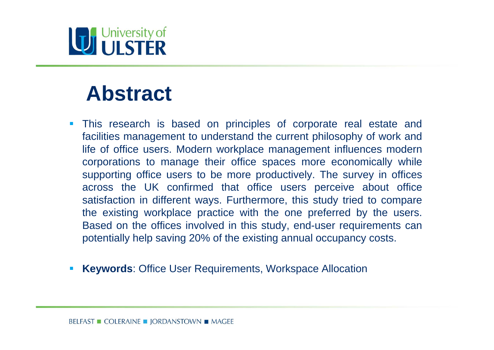#### **Abstract**

- $\overline{\phantom{a}}$  This research is based on principles of corporate real estate and facilities management to understand the current philosophy of work and life of office users. Modern workplace management influences modern corporations to manage their office spaces more economically while supporting office users to be more productively. The survey in offices across the UK confirmed that office users perceive about office satisfaction in different ways. Furthermore, this study tried to compare the existing workplace practice with the one preferred by the users. Based on the offices involved in this study, end-user requirements can potentially help saving 20% of the existing annual occupancy costs.
- $\mathcal{L}_{\mathcal{A}}$ **Keywords**: Office User Requirements, Workspace Allocation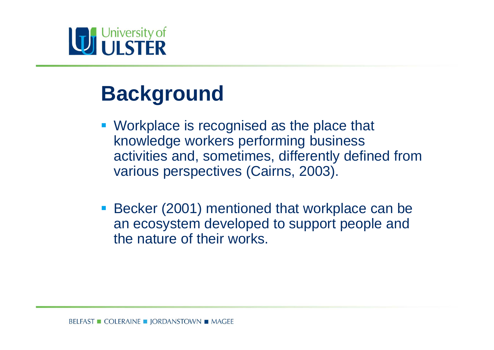#### **Background**

- **Workplace is recognised as the place that** knowledge workers performing business activities and, sometimes, differently defined from various perspectives (Cairns, 2003).
- **Becker (2001) mentioned that workplace can be** an ecosystem developed to support people and the nature of their works.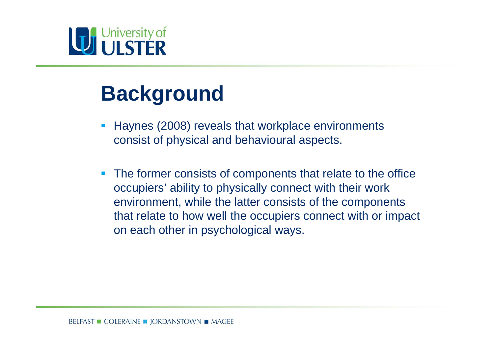#### **Background**

- $\Box$  Haynes (2008) reveals that workplace environments consist of physical and behavioural aspects.
- $\mathcal{L}_{\mathcal{A}}$  The former consists of components that relate to the office occupiers' ability to physically connect with their work environment, while the latter consists of the components that relate to how well the occupiers connect with or impact on each other in psychological ways.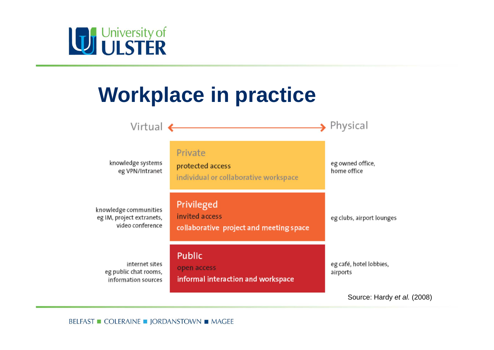

### **Workplace in practice**



Source: Hardy *et al.* (2008)

BELFAST ■ COLERAINE ■ JORDANSTOWN ■ MAGEE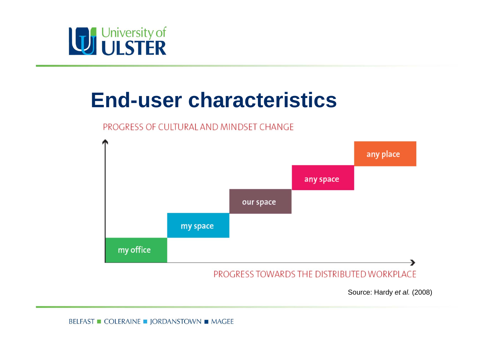

#### **End-user characteristics**

#### PROGRESS OF CULTURAL AND MINDSET CHANGE



Source: Hardy *et al.* (2008)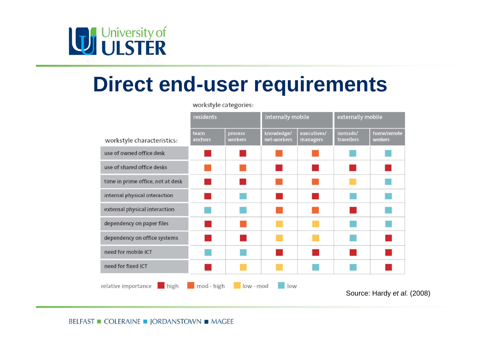# University of

#### **Direct end-user requirements**

workstyle categories:

|                                                                                   | residents       |                    | internally mobile         |                         | externally mobile     |                        |
|-----------------------------------------------------------------------------------|-----------------|--------------------|---------------------------|-------------------------|-----------------------|------------------------|
| workstyle characteristics:                                                        | team<br>anchors | process<br>workers | knowledge/<br>net-workers | executives/<br>managers | nomads/<br>travellers | home/remote<br>workers |
| use of owned office desk                                                          |                 |                    |                           |                         |                       |                        |
| use of shared office desks                                                        |                 |                    |                           |                         |                       |                        |
| time in prime office, not at desk                                                 |                 |                    |                           |                         |                       |                        |
| internal physical interaction                                                     |                 |                    |                           |                         |                       |                        |
| external physical interaction                                                     |                 |                    |                           |                         |                       |                        |
| dependency on paper files                                                         |                 |                    |                           |                         |                       |                        |
| dependency on office systems                                                      |                 |                    |                           |                         |                       |                        |
| need for mobile ICT                                                               |                 |                    |                           |                         |                       |                        |
| need for fixed ICT                                                                |                 |                    |                           |                         |                       |                        |
| mod - high<br>high<br>low - mod<br>relative importance<br>low<br>$C_{\text{All}}$ |                 |                    |                           |                         |                       |                        |

Source: Hardy *et al.* (2008)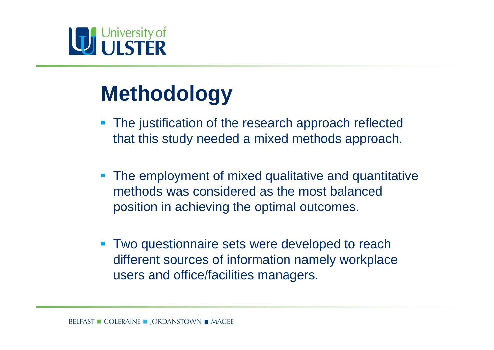# University of

### **Methodology**

- The justification of the research approach reflected that this study needed a mixed methods approach.
- **The employment of mixed qualitative and quantitative** methods was considered as the most balanced position in achieving the optimal outcomes.
- $\overline{\phantom{a}}$  Two questionnaire sets were developed to reach different sources of information namely workplace users and office/facilities managers.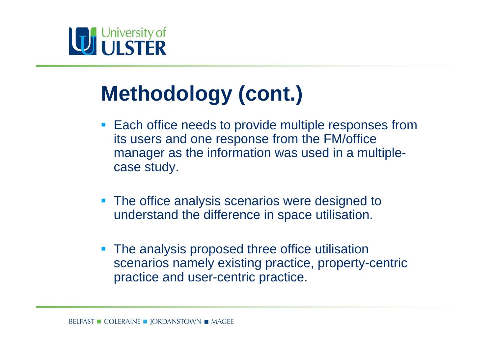

### **Methodology (cont.)**

- **Each office needs to provide multiple responses from** its users and one response from the FM/office manager as the information was used in a multiplecase study.
- **The office analysis scenarios were designed to** understand the difference in space utilisation.
- **The analysis proposed three office utilisation** scenarios namely existing practice, property-centric practice and user-centric practice.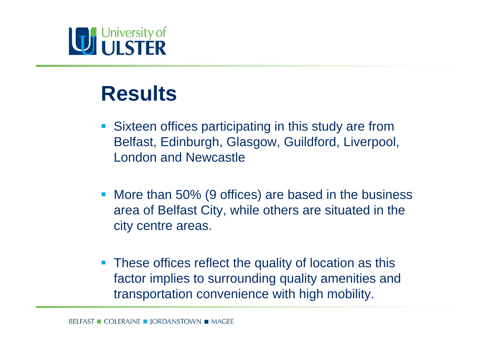### **July University of**

#### **Results**

- **Sixteen offices participating in this study are from** Belfast, Edinburgh, Glasgow, Guildford, Liverpool, London and Newcastle
- **More than 50% (9 offices) are based in the business** area of Belfast City, while others are situated in the city centre areas.
- $\mathcal{L}_{\mathcal{A}}$  These offices reflect the quality of location as this factor implies to surrounding quality amenities and transportation convenience with high mobility.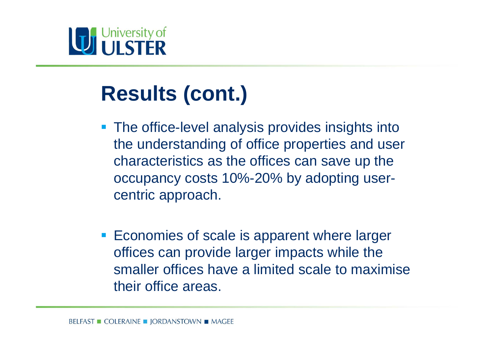### **Results (cont.)**

- **The office-level analysis provides insights into** the understanding of office properties and user characteristics as the offices can save up the occupancy costs 10%-20% by adopting usercentric approach.
- **Economies of scale is apparent where larger** offices can provide larger impacts while the smaller offices have a limited scale to maximise their office areas.